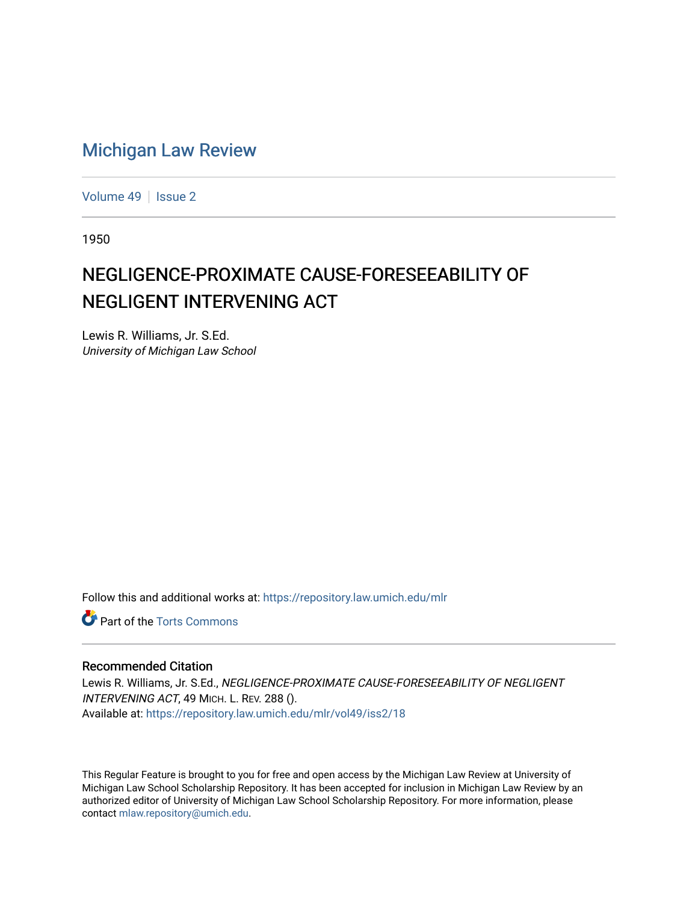## [Michigan Law Review](https://repository.law.umich.edu/mlr)

[Volume 49](https://repository.law.umich.edu/mlr/vol49) | [Issue 2](https://repository.law.umich.edu/mlr/vol49/iss2)

1950

## NEGLIGENCE-PROXIMATE CAUSE-FORESEEABILITY OF NEGLIGENT INTERVENING ACT

Lewis R. Williams, Jr. S.Ed. University of Michigan Law School

Follow this and additional works at: [https://repository.law.umich.edu/mlr](https://repository.law.umich.edu/mlr?utm_source=repository.law.umich.edu%2Fmlr%2Fvol49%2Fiss2%2F18&utm_medium=PDF&utm_campaign=PDFCoverPages) 

**C** Part of the [Torts Commons](http://network.bepress.com/hgg/discipline/913?utm_source=repository.law.umich.edu%2Fmlr%2Fvol49%2Fiss2%2F18&utm_medium=PDF&utm_campaign=PDFCoverPages)

## Recommended Citation

Lewis R. Williams, Jr. S.Ed., NEGLIGENCE-PROXIMATE CAUSE-FORESEEABILITY OF NEGLIGENT INTERVENING ACT, 49 MICH. L. REV. 288 (). Available at: [https://repository.law.umich.edu/mlr/vol49/iss2/18](https://repository.law.umich.edu/mlr/vol49/iss2/18?utm_source=repository.law.umich.edu%2Fmlr%2Fvol49%2Fiss2%2F18&utm_medium=PDF&utm_campaign=PDFCoverPages) 

This Regular Feature is brought to you for free and open access by the Michigan Law Review at University of Michigan Law School Scholarship Repository. It has been accepted for inclusion in Michigan Law Review by an authorized editor of University of Michigan Law School Scholarship Repository. For more information, please contact [mlaw.repository@umich.edu](mailto:mlaw.repository@umich.edu).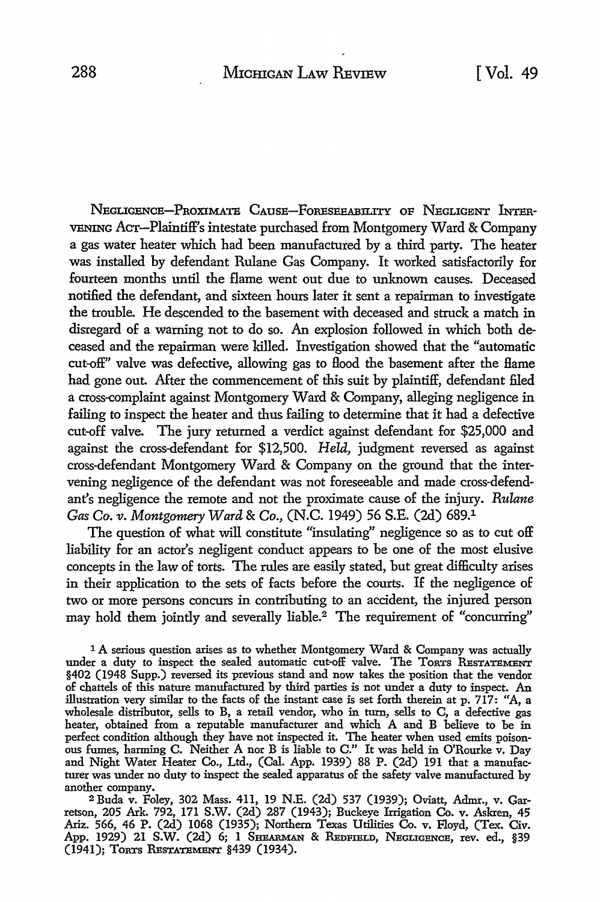NEGLIGENCE-PROXIMATE CAUSE-FORESEEABILITY OF NEGLIGENT INTER-VENING AcT-Plaintiff's intestate purchased from Montgomery Ward & Company a gas water heater which had been manufactured by a third party. The heater was installed by defendant Rulane Gas Company. It worked satisfactorily for fourteen months until the flame went out due to unknown causes. Deceased notified the defendant, and sixteen hours later it sent a repairman to investigate the trouble. He descended to the basement with deceased and struck a match in disregard of a warning not to do so. An explosion followed in which both deceased and the repairman were killed. Investigation showed that the "automatic cut-off" valve was defective, allowing gas to flood the basement after the flame had gone out. After the commencement of this suit by plaintiff, defendant filed a cross-complaint against Montgomery Ward & Company, alleging negligence in failing to inspect the heater and thus failing to determine that it had a defective cut-off valve. The jury returned a verdict against defendant for \$25,000 and against the cross-defendant for \$12,500. *Held,* judgment reversed as against cross-defendant Montgomery Ward & Company on the ground that the intervening negligence of the defendant was not foreseeable and made cross-defendant's negligence the remote and not the proximate cause of the injury. *Rulane Gas Co. v. Montgomery Ward* & Co., (N.C. 1949) 56 S.E. (2d) 689.1

The question of what will constitute "insulating" negligence so as to cut off liability for an actor's negligent conduct appears to be one of the most elusive concepts in the law of torts. The rules are easily stated, but great difficulty arises in their application to the sets of facts before the courts. If the negligence of two or more persons concurs in contributing to an accident, the injured person may hold them jointly and severally liable.<sup>2</sup> The requirement of "concurring"

<sup>1</sup> A serious question arises as to whether Montgomery Ward & Company was actually under a duty to inspect the sealed automatic cut-off valve. The TonTs RESTATEMENT §402 (1948 Supp.) reversed its previous stand and now takes the position that the vendor of chattels of this nature manufactured by third parties is not under a duty to inspect. An illustration very similar to the facts of the instant case is set forth therein at p. 717: "A, a wholesale distributor, sells to B, a retail vendor, who in turn, sells to C, a defective gas heater, obtained from a reputable manufacturer and which A and B believe to be in perfect condition although they have not inspected it. The heater when used emits poisonous fumes, harming C. Neither A nor B is liable to C." It was held in O'Rourke v. Day and Night Water Heater Co., Ltd., (Cal. App. 1939) 88 P. (2d) 191 that a manufacturer was under no duty to inspect the sealed apparatus of the safety valve manufactured by another company.

2 Buda v. Foley, 302 Mass. 411, 19 N.E. (2d) 537 (1939); Oviatt, Admr., v. Garretson, 205 Ark. 792, 171 S.W. (2d) 287 (1943); Buckeye Irrigation Co. v. Askren, 45 Ariz. 566, 46 P. (2d) 1068 (1935); Northern Texas Utilities Co. v. Floyd, (Tex. Civ. App. 1929) 21 S.W. (2d) 6; 1 SHEARMAN & REDFIELD, NEGLIGENCE, rev. ed., §39 (1941); TORTS RESTATEMENT §439 (1934).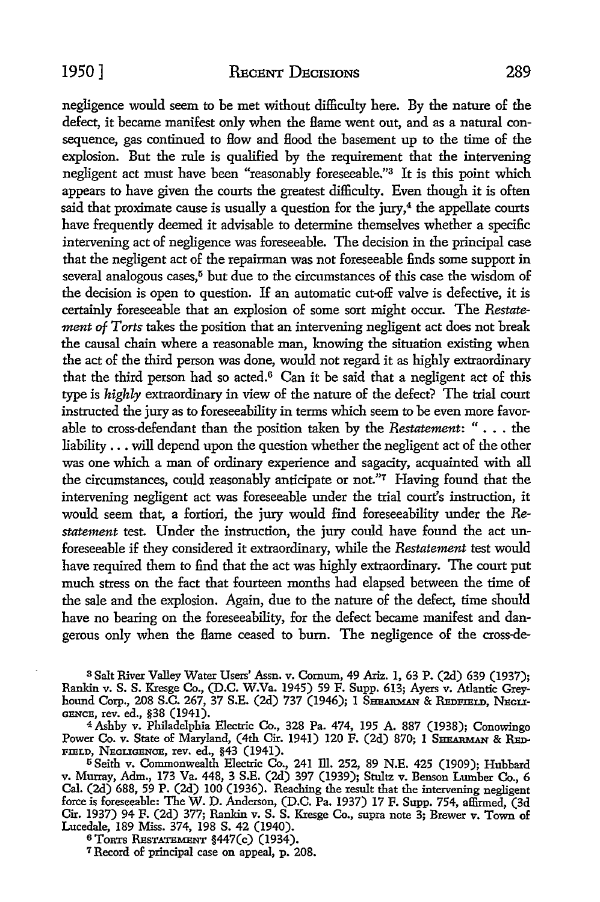negligence would seem to be met without difficulty here. By the nature of the defect, it became manifest only when the flame went out, and as a natural consequence, gas continued to How and Hood the basement up to the time of the explosion. But the rule is qualified by the requirement that the intervening negligent act must have been "reasonably foreseeable."3 It is this point which appears to have given the courts the greatest difficulty. Even though it is often said that proximate cause is usually a question for the jury, $4$  the appellate courts have frequently deemed it advisable to determine themselves whether a specific intervening act of negligence was foreseeable. The decision in the principal case that the negligent act of the repairman was not foreseeable finds some support in several analogous cases,<sup>5</sup> but due to the circumstances of this case the wisdom of the decision is open to question. If an automatic cut-off valve is defective, it is certainly foreseeable that an explosion of some sort might occur. The *Restatement of Torts* takes the position that an intervening negligent act does not break the causal chain where a reasonable man, knowing the situation existing when the act of the third person was done, would not regard it as highly extraordinary that the third person had so acted.6 Can it be said that a negligent act of this type is *highly* extraordinary in view of the nature of the defect? The trial court instructed the jury as to foreseeability in terms which seem to be even more favorable to cross-defendant than the position taken by the *Restatement:* " • . . the liability ... will depend upon the question whether the negligent act of the other was one which a man of ordinary experience and sagacity, acquainted with all the circumstances, could reasonably anticipate or not."7 Having found that the intervening negligent act was foreseeable under the trial court's instruction, it would seem that, a fortiori, the jury would find foreseeability under the *Restatement* test. Under the instruction, the jury could have found the act unforeseeable if they considered it extraordinary, while the *Restatement* test would have required them to find that the act was highly extraordinary. The court put much stress on the fact that fourteen months had elapsed between the time of the sale and the explosion. Again, due to the nature of the defect, time should have no bearing on the foreseeability, for the defect became manifest and dangerous only when the flame ceased to bum. The negligence of the cross-de-

<sup>3</sup>Salt River Valley Water Users' Assn. v. Comum, 49 Ariz. 1, 63 P. (2d) 639 (1937); Rankin v. S. S. Kresge Co., (D.C. W.Va. 1945) 59 F. Supp. 613; Ayers v. Atlantic Greyhound Corp., 208 S.C. 267, 37 S.E. (2d) 737 (1946); 1 SHEARMAN & REDFIELD, NEGLI-GENCE, rev. ed., §38 (1941).

<sup>4</sup>Ashby v. Philadelphia Electric Co., 328 Pa. 474, 195 A. 887 (1938); Conowingo Power Co. v. State of Maryland, (4th Cir. 1941) 120 F. (2d) 870; 1 SHEARMAN & RED-FIELD, NEGLIGENCE, rev. ed., §43 (1941).

<sup>5</sup> Seith v. Commonwealth Electric Co., 241 Ill. 252, 89 N.E. 425 (1909); Hubbard v. Murray, Adm., 173 Va. 448, 3 S.E. (2d) 397 (1939); Stultz v. Benson Lumber Co., 6 Cal. (2d) 688, 59 P. (2d) 100 (1936). Reaching the result that the intervening negligent force is foreseeable: The W. D. Anderson, (D.C. Pa. 1937) 17 F. Supp. 754, affirmed, (3d Cir. 1937) 94 F. (2d) 377; Rankin v. S. S. Kresge Co., supra note 3; Brewer v. Town of Lucedale, 189 Miss. 374, 198 S. 42 (1940).

<sup>6</sup>ToRTS REsTATEMENT §447(c) (1934).

*1* Record of principal case on appeal, p. 208.